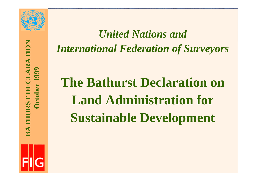



## *United Nations and International Federation of Surveyors*

# **The Bathurst Declaration on Land Administration for Sustainable Development**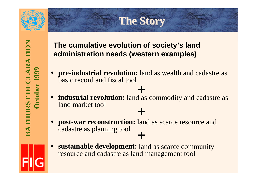

#### **The Story The Story**

#### **The cumulative evolution of society's land administration needs (western examples)**

- • **pre-industrial revolution:** land as wealth and cadastre as basic record and fiscal tool
- **industrial revolution:** land as commodity and cadastre as land market tool **+**

**+**

- $\bullet$  **post-war reconstruction:** land as scarce resource and cadastre as planning tool **+**
- 
- • **sustainable development:** land as scarce community resource and cadastre as land management tool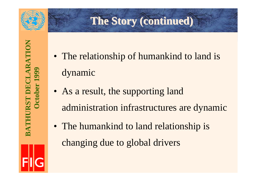

#### **The Story (continued) The Story (continued)**

- The relationship of humankind to land is dynamic
- As a result, the supporting land administration infrastructures are dynamic
- The humankind to land relationship is changing due to global drivers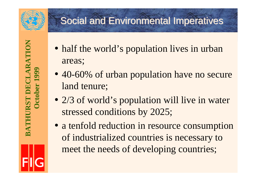

### **Social and Environmental Imperatives**

BATHURST DECLARATION **BATHURST DECLARATION October 1999** October 1

- half the world's population lives in urban areas;
- 40-60% of urban population have no secure land tenure;
- 2/3 of world's population will live in water stressed conditions by 2025;
- a tenfold reduction in resource consumption of industrialized countries is necessary to meet the needs of developing countries;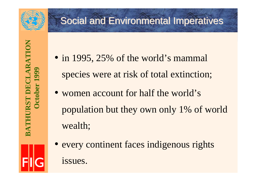

### **Social and Environmental Imperatives**

- in 1995, 25% of the world's mammal species were at risk of total extinction;
- women account for half the world's population but they own only 1% of world wealth;
- every continent faces indigenous rights issues.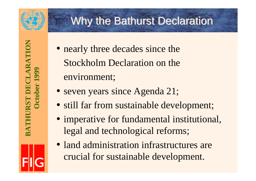

### Why the Bathurst Declaration

**BATHURST DECLARATION** BATHURST DECLARATION **October 1999** October

- nearly three decades since the Stockholm Declaration on theenvironment;
- seven years since Agenda 21;
- still far from sustainable development;
- imperative for fundamental institutional, legal and technological reforms;
- land administration infrastructures are crucial for sustainable development.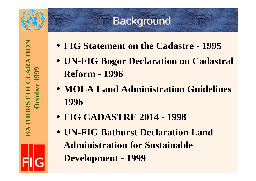

#### **Background**

- **FIG Statement on the Cadastre 1995**
- **UN-FIG Bogor Declaration on Cadastral Reform - 1996**
- **MOLA Land Administration Guidelines 1996**
- **FIG CADASTRE 2014 1998**
- **UN-FIG Bathurst Declaration Land Administration for Sustainable Development - 1999**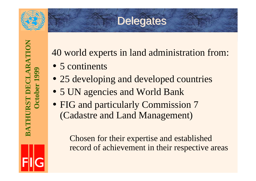

#### **Delegates**

BATHURST DECLARATION **BATHURST DECLARATION** October 1999 **October 1999**

40 world experts in land administration from:

- 5 continents
- 25 developing and developed countries
- 5 UN agencies and World Bank
- FIG and particularly Commission 7 (Cadastre and Land Management)

Chosen for their expertise and established record of achievement in their respective areas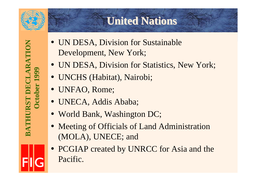

**BATHURST DECLARATION**

BATHURST DECLARATION

**October 1999**

**Detober 1999** 

#### **United Nations United Nations**

- UN DESA, Division for Sustainable Development, New York;
- UN DESA, Division for Statistics, New York;
- UNCHS (Habitat), Nairobi;
- UNFAO, Rome;
- UNECA, Addis Ababa;
- World Bank, Washington DC;
- Meeting of Officials of Land Administration (MOLA), UNECE; and
- PCGIAP created by UNRCC for Asia and the Pacific.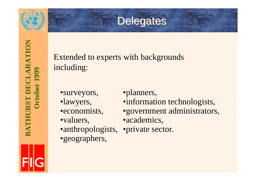

#### Delegates

Extended to experts with backgrounds including:

- •surveyors,
- •lawyers,
- •economists,
- •valuers,
- •anthropologists, •private sector.
- •geographers,
- •planners,
- •information technologists,
- •government administrators,
- •academics,
-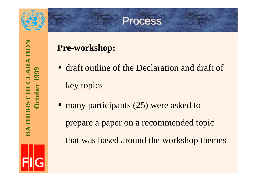

#### **Process**

#### **Pre-workshop:**

- draft outline of the Declaration and draft of key topics
- many participants (25) were asked to

prepare a paper on a recommended topic that was based around the workshop themes

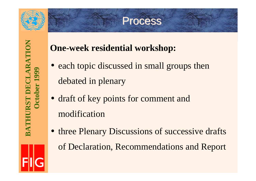

#### **Process**

#### **One-week residential workshop:**

- each topic discussed in small groups then debated in plenary
- draft of key points for comment and modification
- three Plenary Discussions of successive drafts of Declaration, Recommendations and Report

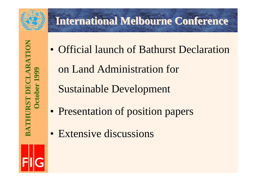

### **International Melbourne Conference**

**BATHURST DECLARATION** BATHURST DECLARATION **October 1999** October

• Official launch of Bathurst Declaration

on Land Administration for

Sustainable Development

- Presentation of position papers
- Extensive discussions

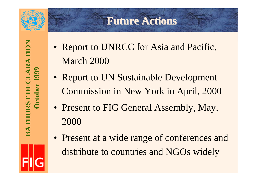

#### **Future Actions Future Actions**

**BATHURST DECLARATION BATHURST DECLARATION October 1999** October 1

- Report to UNRCC for Asia and Pacific, March 2000
- Report to UN Sustainable Development Commission in New York in April, 2000
- Present to FIG General Assembly, May, 2000
- Present at a wide range of conferences and distribute to countries and NGOs widely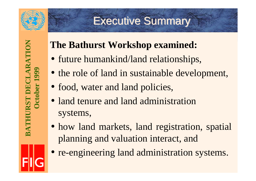

### **Executive Summary**

**BATHURST DECLARATION BATHURST DECLARATION October 1999** October 1

### **The Bathurst Workshop examined:**

- future humankind/land relationships,
- the role of land in sustainable development,
- food, water and land policies,
- land tenure and land administration systems,
- how land markets, land registration, spatial planning and valuation interact, and
- re-engineering land administration systems.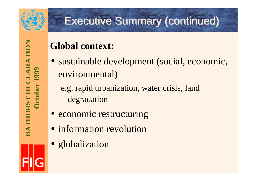

### Executive Summary (continued) Executive Summary (continued)

#### **Global context:**

- sustainable development (social, economic, environmental)
	- e.g. rapid urbanization, water crisis, land degradation
- economic restructuring
- information revolution
- globalization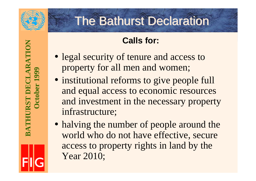

- legal security of tenure and access to property for all men and women;
- institutional reforms to give people full and equal access to economic resources and investment in the necessary property infrastructure;
- halving the number of people around the world who do not have effective, secure access to property rights in land by the Year 2010;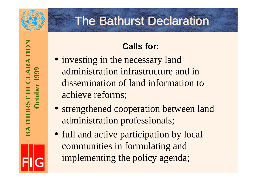

- investing in the necessary land administration infrastructure and indissemination of land information toachieve reforms;
- strengthened cooperation between land administration professionals;
- full and active participation by local communities in formulating and implementing the policy agenda;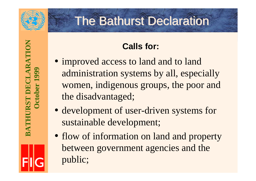

- improved access to land and to land administration systems by all, especially women, indigenous groups, the poor and the disadvantaged;
- development of user-driven systems for sustainable development;
- flow of information on land and property between government agencies and the public;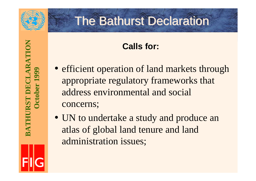

- efficient operation of land markets through appropriate regulatory frameworks that address environmental and social concerns;
- UN to undertake a study and produce an atlas of global land tenure and land administration issues;

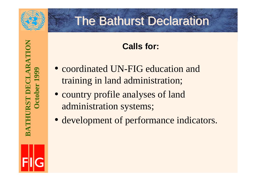

**BATHURST DECLARATION**

**BATHURST DECLARATION** 

**October 1999**

October 1

### **The Bathurst Declaration**

- coordinated UN-FIG education and training in land administration;
- country profile analyses of land administration systems;
- development of performance indicators.